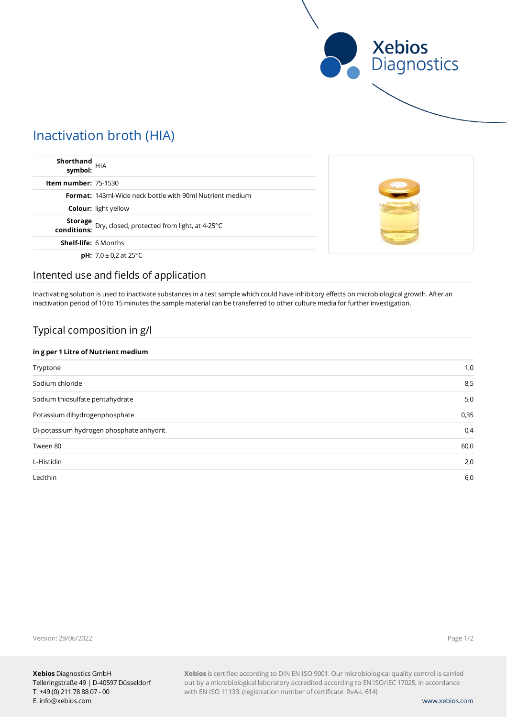

# Inactivation broth (HIA)

| Shorthand<br>symbol: HIA                                                          |  |
|-----------------------------------------------------------------------------------|--|
| <b>Item number: 75-1530</b>                                                       |  |
| <b>Format:</b> 143ml-Wide neck bottle with 90ml Nutrient medium                   |  |
| <b>Colour:</b> light yellow                                                       |  |
| <b>Storage</b><br><b>conditions:</b> Dry, closed, protected from light, at 4-25°C |  |
| <b>Shelf-life: 6 Months</b>                                                       |  |
| <b>pH:</b> $7.0 \pm 0.2$ at 25°C                                                  |  |

### Intented use and fields of application

Inactivating solution is used to inactivate substances in a test sample which could have inhibitory effects on microbiological growth. After an inactivation period of 10 to 15 minutes the sample material can be transferred to other culture media for further investigation.

## Typical composition in g/l

### **in g per 1 Litre of Nutrient medium**

| Tryptone                                 | 1,0  |
|------------------------------------------|------|
| Sodium chloride                          | 8,5  |
| Sodium thiosulfate pentahydrate          | 5,0  |
| Potassium dihydrogenphosphate            | 0,35 |
| Di-potassium hydrogen phosphate anhydrit | 0,4  |
| Tween 80                                 | 60,0 |
| L-Histidin                               | 2,0  |
| Lecithin                                 | 6,0  |
|                                          |      |

Version: 29/06/2022

Page 1/2

**Xebios** is certified according to DIN EN ISO 9001. Our microbiological quality control is carried out by a microbiological laboratory accredited according to EN ISO/IEC 17025, in accordance with EN ISO 11133. (registration number of certificate: RvA-L 614)